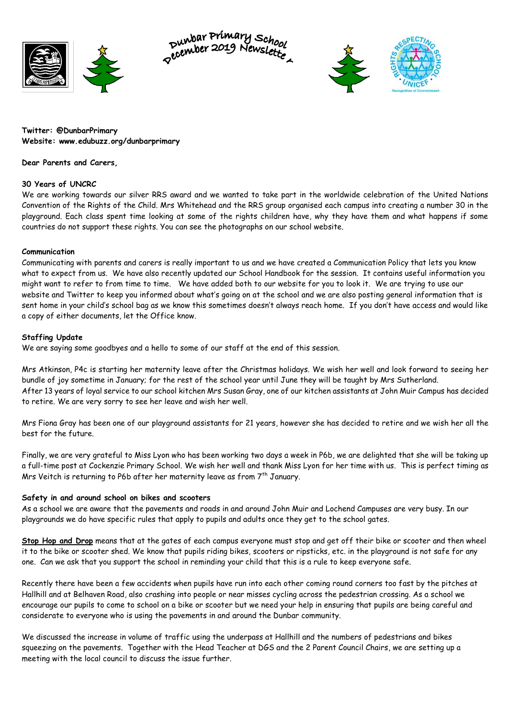

punbar Primary School<br>pecember 2019 Newslette



**Twitter: @DunbarPrimary Website: www.edubuzz.org/dunbarprimary**

**Dear Parents and Carers,**

## **30 Years of UNCRC**

We are working towards our silver RRS award and we wanted to take part in the worldwide celebration of the United Nations Convention of the Rights of the Child. Mrs Whitehead and the RRS group organised each campus into creating a number 30 in the playground. Each class spent time looking at some of the rights children have, why they have them and what happens if some countries do not support these rights. You can see the photographs on our school website.

## **Communication**

Communicating with parents and carers is really important to us and we have created a Communication Policy that lets you know what to expect from us. We have also recently updated our School Handbook for the session. It contains useful information you might want to refer to from time to time. We have added both to our website for you to look it. We are trying to use our website and Twitter to keep you informed about what's going on at the school and we are also posting general information that is sent home in your child's school bag as we know this sometimes doesn't always reach home. If you don't have access and would like a copy of either documents, let the Office know.

## **Staffing Update**

We are saying some goodbyes and a hello to some of our staff at the end of this session.

Mrs Atkinson, P4c is starting her maternity leave after the Christmas holidays. We wish her well and look forward to seeing her bundle of joy sometime in January; for the rest of the school year until June they will be taught by Mrs Sutherland. After 13 years of loyal service to our school kitchen Mrs Susan Gray, one of our kitchen assistants at John Muir Campus has decided to retire. We are very sorry to see her leave and wish her well.

Mrs Fiona Gray has been one of our playground assistants for 21 years, however she has decided to retire and we wish her all the best for the future.

Finally, we are very grateful to Miss Lyon who has been working two days a week in P6b, we are delighted that she will be taking up a full-time post at Cockenzie Primary School. We wish her well and thank Miss Lyon for her time with us. This is perfect timing as Mrs Veitch is returning to P6b after her maternity leave as from 7<sup>th</sup> January.

#### **Safety in and around school on bikes and scooters**

As a school we are aware that the pavements and roads in and around John Muir and Lochend Campuses are very busy. In our playgrounds we do have specific rules that apply to pupils and adults once they get to the school gates.

**Stop Hop and Drop** means that at the gates of each campus everyone must stop and get off their bike or scooter and then wheel it to the bike or scooter shed. We know that pupils riding bikes, scooters or ripsticks, etc. in the playground is not safe for any one. Can we ask that you support the school in reminding your child that this is a rule to keep everyone safe.

Recently there have been a few accidents when pupils have run into each other coming round corners too fast by the pitches at Hallhill and at Belhaven Road, also crashing into people or near misses cycling across the pedestrian crossing. As a school we encourage our pupils to come to school on a bike or scooter but we need your help in ensuring that pupils are being careful and considerate to everyone who is using the pavements in and around the Dunbar community.

We discussed the increase in volume of traffic using the underpass at Hallhill and the numbers of pedestrians and bikes squeezing on the pavements. Together with the Head Teacher at DGS and the 2 Parent Council Chairs, we are setting up a meeting with the local council to discuss the issue further.